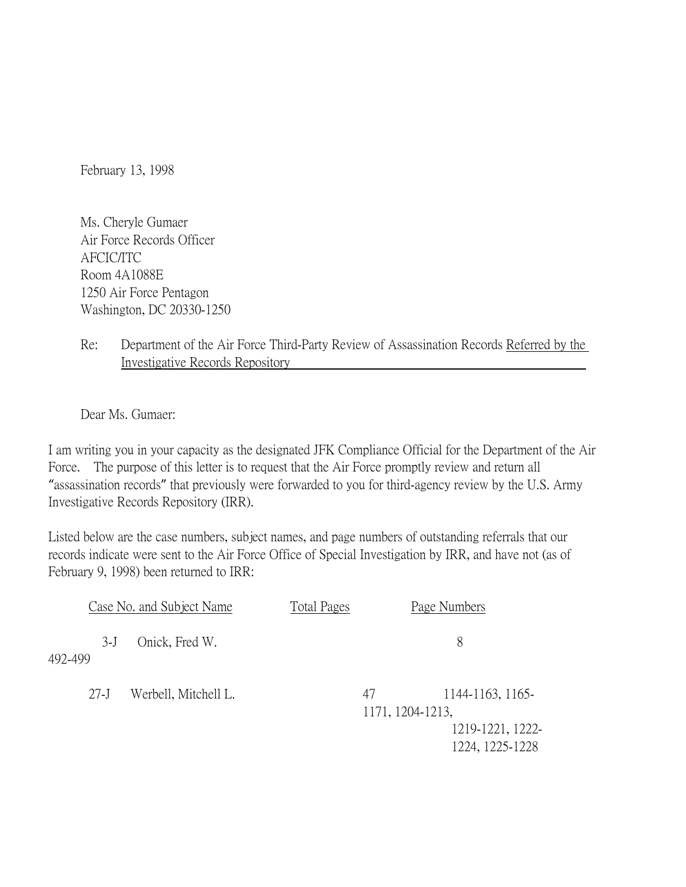February 13, 1998

Ms. Cheryle Gumaer Air Force Records Officer AFCIC/ITC Room 4A1088E 1250 Air Force Pentagon Washington, DC 20330-1250

## Re: Department of the Air Force Third-Party Review of Assassination Records Referred by the Investigative Records Repository

Dear Ms. Gumaer:

I am writing you in your capacity as the designated JFK Compliance Official for the Department of the Air Force. The purpose of this letter is to request that the Air Force promptly review and return all "assassination records" that previously were forwarded to you for third-agency review by the U.S. Army Investigative Records Repository (IRR).

Listed below are the case numbers, subject names, and page numbers of outstanding referrals that our records indicate were sent to the Air Force Office of Special Investigation by IRR, and have not (as of February 9, 1998) been returned to IRR:

| Case No. and Subject Name |                            | <b>Total Pages</b>                                       | Page Numbers    |
|---------------------------|----------------------------|----------------------------------------------------------|-----------------|
| $3-J$<br>492-499          | Onick, Fred W.             |                                                          | 8               |
| $27-J$                    | Werbell, Mitchell L.<br>47 | 1144-1163, 1165-<br>1171, 1204-1213,<br>1219-1221, 1222- |                 |
|                           |                            |                                                          | 1224, 1225-1228 |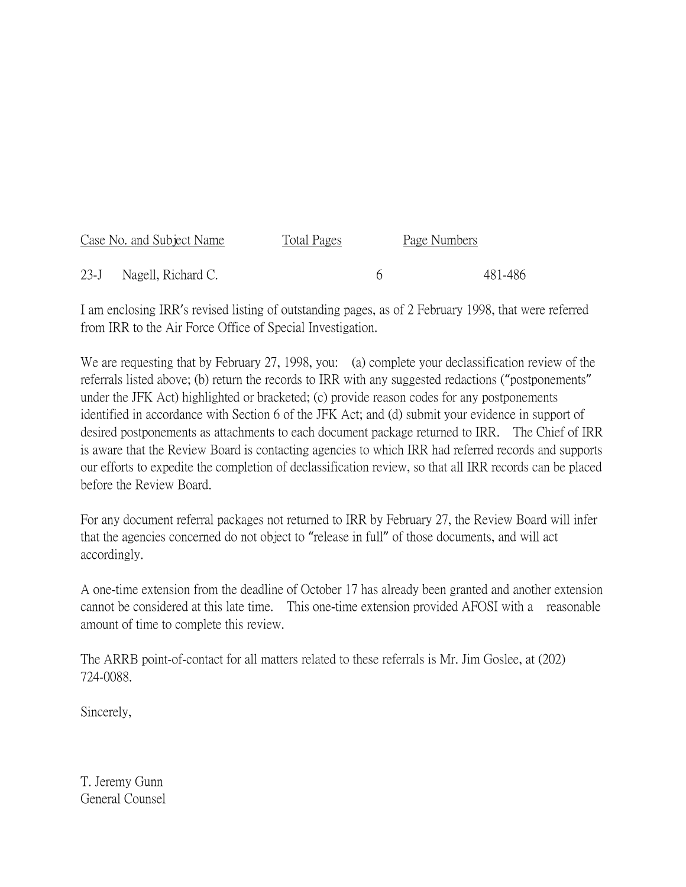| Case No. and Subject Name | Total Pages | Page Numbers |         |
|---------------------------|-------------|--------------|---------|
| 23-J Nagell, Richard C.   |             |              | 481-486 |

I am enclosing IRR's revised listing of outstanding pages, as of 2 February 1998, that were referred from IRR to the Air Force Office of Special Investigation.

We are requesting that by February 27, 1998, you: (a) complete your declassification review of the referrals listed above; (b) return the records to IRR with any suggested redactions ("postponements" under the JFK Act) highlighted or bracketed; (c) provide reason codes for any postponements identified in accordance with Section 6 of the JFK Act; and (d) submit your evidence in support of desired postponements as attachments to each document package returned to IRR. The Chief of IRR is aware that the Review Board is contacting agencies to which IRR had referred records and supports our efforts to expedite the completion of declassification review, so that all IRR records can be placed before the Review Board.

For any document referral packages not returned to IRR by February 27, the Review Board will infer that the agencies concerned do not object to "release in full" of those documents, and will act accordingly.

A one-time extension from the deadline of October 17 has already been granted and another extension cannot be considered at this late time. This one-time extension provided AFOSI with a reasonable amount of time to complete this review.

The ARRB point-of-contact for all matters related to these referrals is Mr. Jim Goslee, at (202) 724-0088.

Sincerely,

T. Jeremy Gunn General Counsel